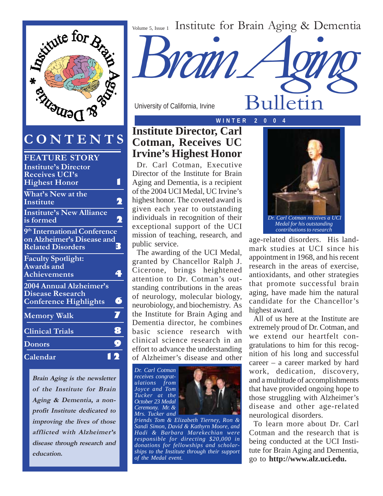Volume 5, Issue 1 Institute for Brain Aging & Dementia



## **CONTENTS**

| <b>FEATURE STORY</b>                     |                     |
|------------------------------------------|---------------------|
| <b>Institute's Director</b>              |                     |
| <b>Receives UCI's</b>                    |                     |
| <b>Highest Honor</b>                     |                     |
| What's New at the                        |                     |
| Institute                                |                     |
| <b>Institute's New Alliance</b>          |                     |
| is formed                                | 2                   |
| 9 <sup>th</sup> International Conference |                     |
| on Alzheimer's Disease and               |                     |
| <b>Related Disorders</b>                 | 3.                  |
| <b>Faculty Spotlight:</b>                |                     |
| Awards and                               |                     |
| <b>Achievements</b>                      |                     |
| 2004 Annual Alzheimer's                  |                     |
| <b>Disease Research</b>                  |                     |
| <b>Conference Highlights</b>             | 6                   |
| <b>Memory Walk</b>                       | $\overline{\bm{J}}$ |
|                                          |                     |
| <b>Clinical Trials</b>                   | 8                   |
| <b>Donors</b>                            | 9                   |
| Calendar                                 |                     |
|                                          |                     |

**Brain Aging is the newsletter of the Institute for Brain Aging & Dementia, a nonprofit Institute dedicated to improving the lives of those afflicted with Alzheimer's disease through research and education.**

University of California, Irvine

## **W I N T E R 2 0 0 4 Institute Director, Carl Cotman, Receives UC Irvine's Highest Honor**

Dr. Carl Cotman, Executive Director of the Institute for Brain Aging and Dementia, is a recipient of the 2004 UCI Medal, UC Irvine's highest honor. The coveted award is given each year to outstanding individuals in recognition of their exceptional support of the UCI mission of teaching, research, and public service.

The awarding of the UCI Medal, granted by Chancellor Ralph J. Cicerone, brings heightened attention to Dr. Cotman's outstanding contributions in the areas of neurology, molecular biology, neurobiology, and biochemistry. As the Institute for Brain Aging and Dementia director, he combines basic science research with clinical science research in an effort to advance the understanding of Alzheimer's disease and other

*Dr. Carl Cotman receives congratulations from Joyce and Tom Tucker at the October 23 Medal Ceremony. Mr. & Mrs. Tucker and*



*friends Tom & Elizabeth Tierney, Ron & Sandi Simon, David & Kathyrn Moore, and Hadi & Barbara Marekechian were responsible for directing \$20,000 in donations for fellowships and scholarships to the Institute through their support of the Medal event.*



Bulletin

*Medal for his outstanding contributions to research*

age-related disorders. His landmark studies at UCI since his appointment in 1968, and his recent research in the areas of exercise, antioxidants, and other strategies that promote successful brain aging, have made him the natural candidate for the Chancellor's highest award.

All of us here at the Institute are extremely proud of Dr. Cotman, and we extend our heartfelt congratulations to him for this recognition of his long and successful career – a career marked by hard work, dedication, discovery, and a multitude of accomplishments that have provided ongoing hope to those struggling with Alzheimer's disease and other age-related neurological disorders.

To learn more about Dr. Carl Cotman and the research that is being conducted at the UCI Institute for Brain Aging and Dementia, go to **http://www.alz.uci.edu.**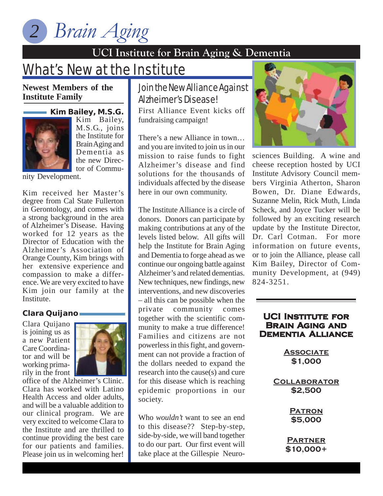*Brain Aging 2*

## **UCI Institute for Brain Aging & Dementia**

# **What's New at the Institute**

**Newest Members of the Institute Family**

#### **Kim Bailey, M.S.G.**



Kim Bailey, M.S.G., joins the Institute for Brain Aging and Dementia as the new Director of Commu-

nity Development.

Kim received her Master's degree from Cal State Fullerton in Gerontology, and comes with a strong background in the area of Alzheimer's Disease. Having worked for 12 years as the Director of Education with the Alzheimer's Association of Orange County, Kim brings with her extensive experience and compassion to make a difference. We are very excited to have Kim join our family at the Institute.

#### **Clara Quijano**

Clara Quijano is joining us as a new Patient Care Coordinator and will be working primarily in the front  $\parallel$ 



office of the Alzheimer's Clinic. Clara has worked with Latino Health Access and older adults, and will be a valuable addition to our clinical program. We are very excited to welcome Clara to the Institute and are thrilled to continue providing the best care for our patients and families. Please join us in welcoming her!

## Join the New Alliance Against Alzheimer's Disease!

First Alliance Event kicks off fundraising campaign!

There's a new Alliance in town… and you are invited to join us in our mission to raise funds to fight Alzheimer's disease and find solutions for the thousands of individuals affected by the disease here in our own community.

The Institute Alliance is a circle of donors. Donors can participate by making contributions at any of the levels listed below. All gifts will help the Institute for Brain Aging and Dementia to forge ahead as we continue our ongoing battle against Alzheimer's and related dementias. New techniques, new findings, new interventions, and new discoveries – all this can be possible when the private community comes together with the scientific community to make a true difference! Families and citizens are not powerless in this fight, and government can not provide a fraction of the dollars needed to expand the research into the cause(s) and cure for this disease which is reaching epidemic proportions in our society.

Who *wouldn't* want to see an end to this disease?? Step-by-step, side-by-side, we will band together to do our part. Our first event will take place at the Gillespie Neuro-



sciences Building. A wine and cheese reception hosted by UCI Institute Advisory Council members Virginia Atherton, Sharon Bowen, Dr. Diane Edwards, Suzanne Melin, Rick Muth, Linda Scheck, and Joyce Tucker will be followed by an exciting research update by the Institute Director, Dr. Carl Cotman. For more information on future events, or to join the Alliance, please call Kim Bailey, Director of Community Development, at (949) 824-3251.

#### **UCI Institute for Brain Aging and Dementia Alliance**

**Associate \$1,000**

**Collaborator \$2,500**

> **Patron \$5,000**

**Partner \$10,000+**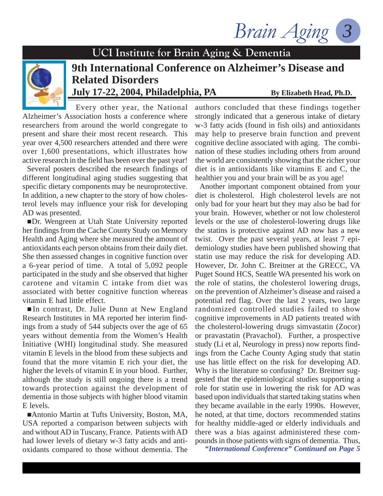Brain Aging



## **9th International Conference on Alzheimer's Disease and Related Disorders July 17-22, 2004, Philadelphia, PA** By Elizabeth Head, Ph.D.

Every other year, the National Alzheimer's Association hosts a conference where researchers from around the world congregate to present and share their most recent research. This year over 4,500 researchers attended and there were over 1,600 presentations, which illustrates how active research in the field has been over the past year!

Several posters described the research findings of different longitudinal aging studies suggesting that specific dietary components may be neuroprotective. In addition, a new chapter to the story of how cholesterol levels may influence your risk for developing AD was presented.

Dr. Wengreen at Utah State University reported her findings from the Cache County Study on Memory Health and Aging where she measured the amount of antioxidants each person obtains from their daily diet. She then assessed changes in cognitive function over a 6-year period of time. A total of 5,092 people participated in the study and she observed that higher carotene and vitamin C intake from diet was associated with better cognitive function whereas vitamin E had little effect.

 In contrast, Dr. Julie Dunn at New England Research Institutes in MA reported her interim findings from a study of 544 subjects over the age of 65 years without dementia from the Women's Health Initiative (WHI) longitudinal study. She measured vitamin E levels in the blood from these subjects and found that the more vitamin E rich your diet, the higher the levels of vitamin E in your blood. Further, although the study is still ongoing there is a trend towards protection against the development of dementia in those subjects with higher blood vitamin E levels.

■Antonio Martin at Tufts University, Boston, MA, USA reported a comparison between subjects with and without AD in Tuscany, France. Patients with AD had lower levels of dietary w-3 fatty acids and antioxidants compared to those without dementia. The

authors concluded that these findings together strongly indicated that a generous intake of dietary w-3 fatty acids (found in fish oils) and antioxidants may help to preserve brain function and prevent cognitive decline associated with aging. The combination of these studies including others from around the world are consistently showing that the richer your diet is in antioxidants like vitamins E and C, the healthier you and your brain will be as you age!

Another important component obtained from your diet is cholesterol. High cholesterol levels are not only bad for your heart but they may also be bad for your brain. However, whether or not low cholesterol levels or the use of cholesterol-lowering drugs like the statins is protective against AD now has a new twist. Over the past several years, at least 7 epidemiology studies have been published showing that statin use may reduce the risk for developing AD. However, Dr. John C. Breitner at the GRECC, VA Puget Sound HCS, Seattle WA presented his work on the role of statins, the cholesterol lowering drugs, on the prevention of Alzheimer's disease and raised a potential red flag. Over the last 2 years, two large randomized controlled studies failed to show cognitive improvements in AD patients treated with the cholesterol-lowering drugs simvastatin (Zocor) or pravastatin (Pravachol). Further, a prospective study (Li et al, Neurology in press) now reports findings from the Cache County Aging study that statin use has little effect on the risk for developing AD. Why is the literature so confusing? Dr. Breitner suggested that the epidemiological studies supporting a role for statin use in lowering the risk for AD was based upon individuals that started taking statins when they became available in the early 1990s. However, he noted, at that time, doctors recommended statins for healthy middle-aged or elderly individuals and there was a bias against administered these compounds in those patients with signs of dementia. Thus,

*"International Conference" Continued on Page 5*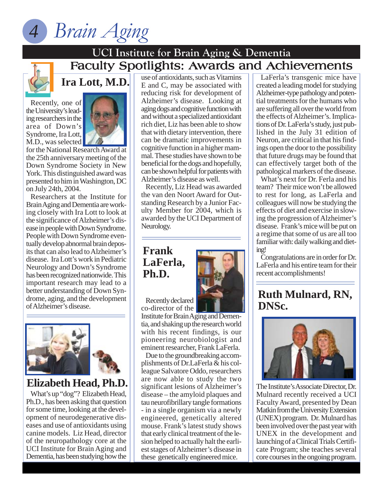



## Faculty Spotlights: Awards and Achievements **UCI Institute for Brain Aging & Dementia**

Recently, one of the University's leading researchers in the area of Down's Syndrome, Ira Lott, M.D., was selected



**Ira Lott, M.D.**

for the National Research Award at the 25th anniversary meeting of the Down Syndrome Society in New York. This distinguished award was presented to him in Washington, DC on July 24th, 2004.

Researchers at the Institute for Brain Aging and Dementia are working closely with Ira Lott to look at the significance of Alzheimer's disease in people with Down Syndrome. People with Down Syndrome eventually develop abnormal brain deposits that can also lead to Alzheimer's disease. Ira Lott's work in Pediatric Neurology and Down's Syndrome has been recognized nationwide. This important research may lead to a better understanding of Down Syndrome, aging, and the development of Alzheimer's disease.





## **Elizabeth Head, Ph.D.**

What's up "dog"? Elizabeth Head, Ph.D., has been asking that question for some time, looking at the development of neurodegenerative diseases and use of antioxidants using canine models. Liz Head, director of the neuropathology core at the UCI Institute for Brain Aging and Dementia, has been studying how the use of antioxidants, such as Vitamins E and C, may be associated with reducing risk for development of Alzheimer's disease. Looking at aging dogs and cognitive function with and without a specialized antioxidant rich diet, Liz has been able to show that with dietary intervention, there can be dramatic improvements in cognitive function in a higher mammal. These studies have shown to be beneficial for the dogs and hopefully, can be shown helpful for patients with Alzheimer's disease as well.

Recently, Liz Head was awarded the van den Noort Award for Outstanding Research by a Junior Faculty Member for 2004, which is awarded by the UCI Department of Neurology.

## **Frank LaFerla, Ph.D.**



Recently declared co-director of the

Institute for Brain Aging and Dementia, and shaking up the research world with his recent findings, is our pioneering neurobiologist and eminent researcher, Frank LaFerla.

Due to the groundbreaking accomplishments of Dr.LaFerla & his colleague Salvatore Oddo, researchers are now able to study the two significant lesions of Alzheimer's disease – the amyloid plaques and tau neurofibrillary tangle formations - in a single organism via a newly engineered, genetically altered mouse. Frank's latest study shows that early clinical treatment of the lesion helped to actually halt the earliest stages of Alzheimer's disease in these genetically engineered mice.

LaFerla's transgenic mice have created a leading model for studying Alzheimer-type pathology and potential treatments for the humans who are suffering all over the world from the effects of Alzheimer's. Implications of Dr. LaFerla's study, just published in the July 31 edition of Neuron, are critical in that his findings open the door to the possibility that future drugs may be found that can effectively target both of the pathological markers of the disease.

What's next for Dr. Ferla and his team? Their mice won't be allowed to rest for long, as LaFerla and colleagues will now be studying the effects of diet and exercise in slowing the progression of Alzheimer's disease. Frank's mice will be put on a regime that some of us are all too familiar with: daily walking and dieting!

Congratulations are in order for Dr. LaFerla and his entire team for their recent accomplishments!

## **Ruth Mulnard, RN, DNSc.**



The Institute's Associate Director, Dr. Mulnard recently received a UCI Faculty Award, presented by Dean Matkin from the University Extension (UNEX) program. Dr. Mulnard has been involved over the past year with UNEX in the development and launching of a Clinical Trials Certificate Program; she teaches several core courses in the ongoing program.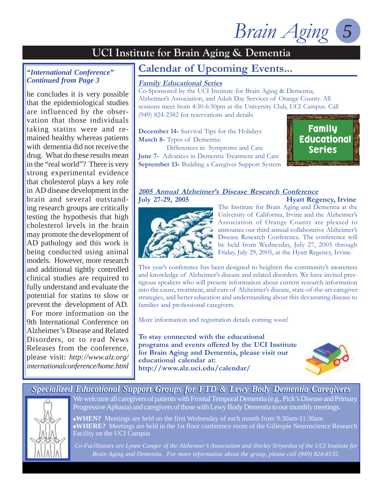Brain Aging

#### *"International Conference" Continued from Page 3*

he concludes it is very possible that the epidemiological studies are influenced by the observation that those individuals taking statins were and remained healthy whereas patients with dementia did not receive the drug. What do these results mean in the "real world"? There is very strong experimental evidence that cholesterol plays a key role in AD disease development in the brain and several outstanding research groups are critically testing the hypothesis that high cholesterol levels in the brain may promote the development of AD pathology and this work is being conducted using animal models. However, more research and additional tightly controlled clinical studies are required to fully understand and evaluate the potential for statins to slow or prevent the development of AD.

For more information on the 9th International Conference on Alzheimer's Disease and Related Disorders, or to read News Releases from the conference, please visit: *http://www.alz.org/ internationalconference/home.html*

## **Calendar of Upcoming Events...**

#### **Family Educational Series**

Co-Sponsored by the UCI Institute for Brain Aging & Dementia, Alzheimer's Association, and Adult Day Services of Orange County. All sessions meet from 4:30-6:30pm at the University Club, UCI Campus. Call (949) 824-2382 for reservations and details.

**December 14-** Survival Tips for the Holidays **March 8-** Types of Dementia:

 Differences in Symptoms and Care **June 7-** Advances in Dementia Treatment and Care **September 13-** Building a Caregiver Support System



#### **2005 Annual Alzheimer's Disease Research Conference July 27-29, 2005 Hyatt Regency, Irvine**



The Institute for Brain Aging and Dementia at the University of California, Irvine and the Alzheimer's Association of Orange County are pleased to announce our third annual collaborative Alzheimer's Disease Research Conference. The conference will be held from Wednesday, July 27, 2005 through Friday, July 29, 2005, at the Hyatt Regency, Irvine.

This year's conference has been designed to heighten the community's awareness and knowledge of Alzheimer's disease and related disorders. We have invited prestigious speakers who will present information about current research information into the cause, treatment, and cure of Alzheimer's disease, state-of-the-art caregiver strategies, and better education and understanding about this devastating disease to families and professional caregivers.

More information and registration details coming soon!

**To stay connected with the educational programs and events offered by the UCI Institute for Brain Aging and Dementia, please visit our educational calendar at: http://www.alz.uci.edu/calendar/**



#### *Specialized Educational Support Groups for FTD & Lewy Body Dementia Caregivers* We welcome all caregivers of patients with Frontal Temporal Dementia (e.g., Pick's Disease and Primary Progressive Aphasia) and caregivers of those with Lewy Body Dementia to our monthly meetings.

**WHEN?** Meetings are held on the first Wednesday of each month from 9:30am-11:30am **WHERE?** Meetings are held in the 1st floor conference room of the Gillespie Neuroscience Research Facility on the UCI Campus

*Co-Facilitators are Lynne Conger of the Alzheimer's Association and Shirley Sriyordsa of the UCI Institute for Brain Aging and Dementia. For more information about the group, please call (949) 824-8135.*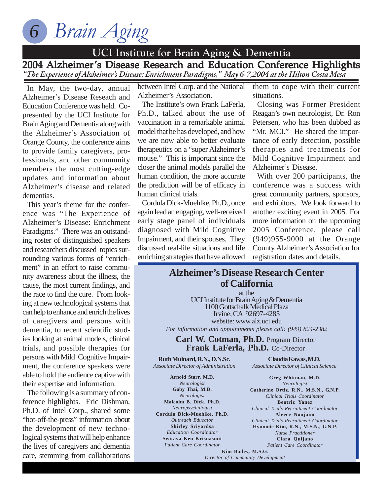*Brain Aging 6*

## **UCI Institute for Brain Aging & Dementia**

2004 Alzheimer's Disease Research and Education Conference Highlights "The Experience of Alzheimer's Disease: Enrichment Paradigms," May 6-7,2004 at the Hilton Costa Mesa

In May, the two-day, annual Alzheimer's Disease Reseach and Education Conference was held. Copresented by the UCI Institute for Brain Aging and Dementia along with the Alzheimer's Association of Orange County, the conference aims to provide family caregivers, professionals, and other community members the most cutting-edge updates and information about Alzheimer's disease and related dementias.

This year's theme for the conference was "The Experience of Alzheimer's Disease: Enrichment Paradigms." There was an outstanding roster of distinguished speakers and researchers discussed topics surrounding various forms of "enrichment" in an effort to raise community awareness about the illness, the cause, the most current findings, and the race to find the cure. From looking at new technological systems that can help to enhance and enrich the lives of caregivers and persons with dementia, to recent scientific studies looking at animal models, clinical trials, and possible therapies for persons with Mild Cognitive Impairment, the conference speakers were able to hold the audience captive with their expertise and information.

The following is a summary of conference highlights. Eric Dishman, Ph.D. of Intel Corp., shared some "hot-off-the-press" information about the development of new technological systems that will help enhance the lives of caregivers and dementia care, stemming from collaborations

between Intel Corp. and the National Alzheimer's Association.

The Institute's own Frank LaFerla, Ph.D., talked about the use of vaccination in a remarkable animal model that he has developed, and how we are now able to better evaluate therapeutics on a "super Alzheimer's mouse." This is important since the closer the animal models parallel the human condition, the more accurate the prediction will be of efficacy in human clinical trials.

Cordula Dick-Muehlke, Ph.D., once again lead an engaging, well-received early stage panel of individuals diagnosed with Mild Cognitive Impairment, and their spouses. They discussed real-life situations and life enriching strategies that have allowed

them to cope with their current situations.

Closing was Former President Reagan's own neurologist, Dr. Ron Petersen, who has been dubbed as "Mr. MCI." He shared the importance of early detection, possible therapies and treatments for Mild Cognitive Impairment and Alzheimer's Disease.

With over 200 participants, the conference was a success with great community partners, sponsors, and exhibitors. We look forward to another exciting event in 2005. For more information on the upcoming 2005 Conference, please call (949)955-9000 at the Orange County Alzheimer's Association for registration dates and details.

### **Alzheimer's Disease Research Center of California**

at the UCI Institute for Brain Aging & Dementia 1100 Gottschalk Medical Plaza Irvine, CA 92697-4285 website: www.alz.uci.edu *For information and appointments please call: (949) 824-2382*

#### **Carl W. Cotman, Ph.D.** Program Director **Frank LaFerla, Ph.D.** Co-Director

**Ruth Mulnard, R.N., D.N.Sc.** *Associate Director of Administration*

**Arnold Starr, M.D.** *Neurologist* **Gaby Thai, M.D.** *Neurologist* **Malcolm B. Dick, Ph.D.** *Neuropsychologist* **Cordula Dick-Muehlke, Ph.D.** *Outreach Educator* **Shirley Sriyordsa** *Education Coordinator* **Switaya Ken Krisnasmit** *Patient Care Coordinator*

**Claudia Kawas, M.D.** *Associate Director of Clinical Science*

**Greg Whitman, M.D.** *Neurologist* **Catherine Ortiz, R.N., M.S.N., G.N.P.** *Clinical Trials Coordinator* **Beatriz Yanez** *Clinical Trials Recruitment Coordinator* **Aleece Noujaim** *Clinical Trials Recruitment Coordinator* **Hyunmie Kim, R.N., M.S.N., G.N.P.** *Nurse Practitioner* **Clara Quijano** *Patient Care Coordinator*

**Kim Bailey, M.S.G.** *Director of Community Development*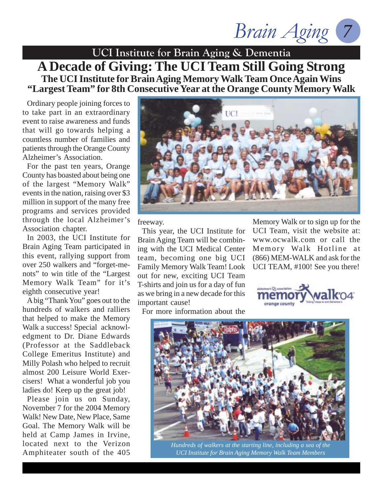*Brain Aging 7*

**UCI Institute for Brain Aging & Dementia A Decade of Giving: The UCI Team Still Going Strong The UCI Institute for Brain Aging Memory Walk Team Once Again Wins "Largest Team" for 8th Consecutive Year at the Orange County Memory Walk**

Ordinary people joining forces to to take part in an extraordinary event to raise awareness and funds that will go towards helping a countless number of families and patients through the Orange County Alzheimer's Association.

For the past ten years, Orange County has boasted about being one of the largest "Memory Walk" events in the nation, raising over \$3 million in support of the many free programs and services provided through the local Alzheimer's Association chapter.

In 2003, the UCI Institute for Brain Aging Team participated in this event, rallying support from over 250 walkers and "forget-menots" to win title of the "Largest Memory Walk Team" for it's eighth consecutive year!

A big "Thank You" goes out to the hundreds of walkers and ralliers that helped to make the Memory Walk a success! Special acknowledgment to Dr. Diane Edwards (Professor at the Saddleback College Emeritus Institute) and Milly Polash who helped to recruit almost 200 Leisure World Exercisers! What a wonderful job you ladies do! Keep up the great job!

Please join us on Sunday, November 7 for the 2004 Memory Walk! New Date, New Place, Same Goal. The Memory Walk will be held at Camp James in Irvine, located next to the Verizon Amphiteater south of the 405



freeway.

This year, the UCI Institute for Brain Aging Team will be combining with the UCI Medical Center team, becoming one big UCI Family Memory Walk Team! Look out for new, exciting UCI Team T-shirts and join us for a day of fun as we bring in a new decade for this important cause!

Memory Walk or to sign up for the UCI Team, visit the website at: www.ocwalk.com or call the Memory Walk Hotline at (866) MEM-WALK and ask for the UCI TEAM, #100! See you there!



For more information about the



*Hundreds of walkers at the starting line, including a sea of the UCI Institute for Brain Aging Memory Walk Team Members*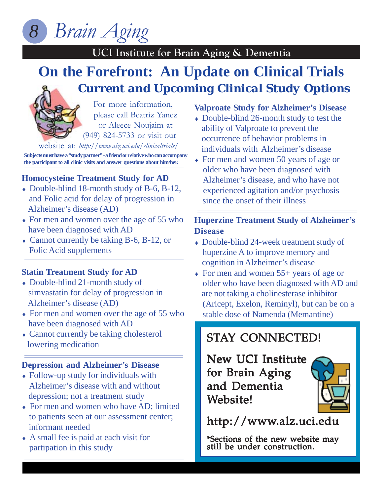*Brain Aging 8*

## **UCI Institute for Brain Aging & Dementia**

## **UCI Institute for Brain Aging & Dementia On the Forefront: An Update on Clinical Trials** *Current and Upcoming Clinical Study Options*



For more information, please call Beatriz Yanez or Aleece Noujaim at (949) 824-5733 or visit our

website at: *http://www.alz.uci.edu/clinicaltrials/*

**Subjects must have a "study partner" - a friend or relative who can accompany the participant to all clinic visits and answer questions about him/her.**

### **Homocysteine Treatment Study for AD**

- ♦ Double-blind 18-month study of B-6, B-12, and Folic acid for delay of progression in Alzheimer's disease (AD)
- ♦ For men and women over the age of 55 who have been diagnosed with AD
- ♦ Cannot currently be taking B-6, B-12, or Folic Acid supplements

#### **Statin Treatment Study for AD**

- ♦ Double-blind 21-month study of simvastatin for delay of progression in Alzheimer's disease (AD)
- ♦ For men and women over the age of 55 who have been diagnosed with AD
- Cannot currently be taking cholesterol lowering medication

#### **Depression and Alzheimer's Disease**

- ♦ Follow-up study for individuals with Alzheimer's disease with and without depression; not a treatment study
- For men and women who have AD; limited to patients seen at our assessment center; informant needed
- ♦ A small fee is paid at each visit for partipation in this study

#### **Valproate Study for Alzheimer's Disease**

- Double-blind 26-month study to test the ability of Valproate to prevent the occurrence of behavior problems in individuals with Alzheimer's disease
- ♦ For men and women 50 years of age or older who have been diagnosed with Alzheimer's disease, and who have not experienced agitation and/or psychosis since the onset of their illness

## **Huperzine Treatment Study of Alzheimer's Disease**

- ♦ Double-blind 24-week treatment study of huperzine A to improve memory and cognition in Alzheimer's disease
- For men and women 55+ years of age or **The 2002 UCI IS NOT TEAM**<br> **The Community of** Secretary Memory Memory Memory Secretary Policy of Secretary Memory Secretary Memory Secretary Memory Secretary Memory Secretary Memory Secretary Memory Secretary Memory Secre are not taking a cholinesterase inhibitor (Aricept, Exelon, Reminyl), but can be on a stable dose of Namenda (Memantine)

## STAY CONNECTED!

New UCI Institute for Brain Aging and Dementia Website!



http://www.alz.uci.edu

\*Sections of the new website may still be under construction.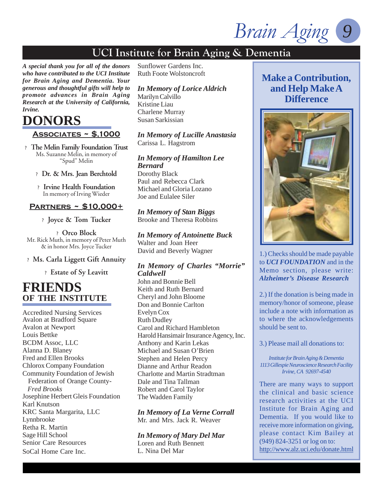*Brain Aging* 

*A special thank you for all of the donors who have contributed to the UCI Institute for Brain Aging and Dementia. Your generous and thoughtful gifts will help to promote advances in Brain Aging Research at the University of California, Irvine.*

## **DONORS**

#### **Associates ~ \$,1000**

? **The Melin Family Foundation Trust** Ms. Suzanne Melin, in memory of "Spud" Melin

- ? **Dr. & Mrs. Jean Berchtold**
- ? **Irvine Health Foundation** In memory of Irving Wieder

#### **Partners ~ \$10,000+**

? **Joyce & Tom Tucker**

? **Orco Block** Mr. Rick Muth, in memory of Peter Muth & in honor Mrs. Joyce Tucker

#### ? **Ms. Carla Liggett Gift Annuity**

? **Estate of Sy Leavitt**

## **FRIENDS OF THE INSTITUTE**

Accredited Nursing Services Avalon at Bradford Square Avalon at Newport Louis Bettke BCDM Assoc, LLC Alanna D. Blaney Fred and Ellen Brooks Chlorox Company Foundation Community Foundation of Jewish Federation of Orange County-  *Fred Brooks* Josephine Herbert Gleis Foundation Karl Knutson KRC Santa Margarita, LLC Lynnbrooke Retha R. Martin Sage Hill School Senior Care Resources SoCal Home Care Inc.

Sunflower Gardens Inc. Ruth Foote Wolstoncroft

#### *In Memory of Lorice Aldrich*

Marilyn Calvillo Kristine Liau Charlene Murray Susan Sarkissian

#### *In Memory of Lucille Anastasia* Carissa L. Hagstrom

*In Memory of Hamilton Lee Bernard* Dorothy Black Paul and Rebecca Clark Michael and Gloria Lozano

*In Memory of Stan Biggs* Brooke and Theresa Robbins

Joe and Eulalee Siler

*In Memory of Antoinette Buck* Walter and Joan Heer David and Beverly Wagner

#### *In Memory of Charles "Morrie" Caldwell*

John and Bonnie Bell Keith and Ruth Bernard Cheryl and John Bloome Don and Bonnie Carlton Evelyn Cox Ruth Dudley Carol and Richard Hambleton Harold Hansimair Insurance Agency, Inc. Anthony and Karin Lekas Michael and Susan O'Brien Stephen and Helen Percy Dianne and Arthur Readon Charlotte and Martin Stradtman Dale and Tina Tallman Robert and Carol Taylor The Wadden Family

*In Memory of La Verne Corrall* Mr. and Mrs. Jack R. Weaver

*In Memory of Mary Del Mar* Loren and Ruth Bennett L. Nina Del Mar

## **Make a Contribution, and Help Make A Difference**



1.) Checks should be made payable to *UCI FOUNDATION* and in the Memo section, please write: *Alzheimer's Disease Research*

2.) If the donation is being made in memory/honor of someone, please include a note with information as to where the acknowledgements should be sent to.

3.) Please mail all donations to:

*Institute for Brain Aging & Dementia 1113 Gillespie Neuroscience Research Facility Irvine, CA 92697-4540*

There are many ways to support the clinical and basic science research activities at the UCI Institute for Brain Aging and Dementia. If you would like to receive more information on giving, please contact Kim Bailey at (949) 824-3251 or log on to: http://www.alz.uci.edu/donate.html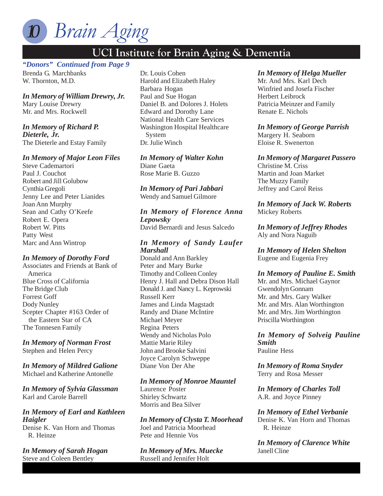

## *"Donors" Continued from Page 9*

Brenda G. Marchbanks W. Thornton, M.D.

*In Memory of William Drewry, Jr.* Mary Louise Drewry Mr. and Mrs. Rockwell

## *In Memory of Richard P.*

*Dieterle, Jr.* The Dieterle and Estay Family

#### *In Memory of Major Leon Files*

Steve Cademartori Paul J. Couchot Robert and Jill Golubow Cynthia Gregoli Jenny Lee and Peter Lianides Joan Ann Murphy Sean and Cathy O'Keefe Robert E. Opera Robert W. Pitts Patty West Marc and Ann Wintrop

#### *In Memory of Dorothy Ford*

Associates and Friends at Bank of America Blue Cross of California The Bridge Club Forrest Goff Dody Nunley Scepter Chapter #163 Order of the Eastern Star of CA The Tonnesen Family

#### *In Memory of Norman Frost* Stephen and Helen Percy

*In Memory of Mildred Galione* Michael and Katherine Antonelle

*In Memory of Sylvia Glassman* Karl and Carole Barrell

#### *In Memory of Earl and Kathleen Haigler*

Denise K. Van Horn and Thomas R. Heinze

*In Memory of Sarah Hogan* Steve and Coleen Bentley

Dr. Louis Cohen Harold and Elizabeth Haley Barbara Hogan Paul and Sue Hogan Daniel B. and Dolores J. Holets Edward and Dorothy Lane National Health Care Services Washington Hospital Healthcare System Dr. Julie Winch

#### *In Memory of Walter Kohn*

Diane Gaeta Rose Marie B. Guzzo

*In Memory of Pari Jabbari* Wendy and Samuel Gilmore

*In Memory of Florence Anna Lepowsky* David Bernardi and Jesus Salcedo

#### *In Memory of Sandy Laufer Marshall*

Donald and Ann Barkley Peter and Mary Burke Timothy and Colleen Conley Henry J. Hall and Debra Dison Hall Donald J. and Nancy L. Keprowski Russell Kerr James and Linda Magstadt Randy and Diane McIntire Michael Meyer Regina Peters Wendy and Nicholas Polo Mattie Marie Riley John and Brooke Salvini Joyce Carolyn Schweppe Diane Von Der Ahe

#### *In Memory of Monroe Mauntel*

Laurence Poster Shirley Schwartz Morris and Bea Silver

*In Memory of Clysta T. Moorhead* Joel and Patricia Moorhead Pete and Hennie Vos

*In Memory of Mrs. Muecke* Russell and Jennifer Holt

#### *In Memory of Helga Mueller*

Mr. And Mrs. Karl Dech Winfried and Josefa Fischer Herbert Leibrock Patricia Meinzer and Family Renate E. Nichols

#### *In Memory of George Parrish*

Margery H. Seaborn Eloise R. Swenerton

#### *In Memory of Margaret Passero*

Christine M. Criss Martin and Joan Market The Muzzy Family Jeffrey and Carol Reiss

#### *In Memory of Jack W. Roberts* Mickey Roberts

*In Memory of Jeffrey Rhodes* Aly and Nora Naguib

*In Memory of Helen Shelton* Eugene and Eugenia Frey

#### *In Memory of Pauline E. Smith*

Mr. and Mrs. Michael Gaynor Gwendolyn Gonnam Mr. and Mrs. Gary Walker Mr. and Mrs. Alan Worthington Mr. and Mrs. Jim Worthington Priscilla Worthington

*In Memory of Solveig Pauline Smith* Pauline Hess

*In Memory of Roma Snyder* Terry and Rosa Messer

*In Memory of Charles Toll* A.R. and Joyce Pinney

*In Memory of Ethel Verbanie* Denise K. Van Horn and Thomas R. Heinze

*In Memory of Clarence White* Janell Cline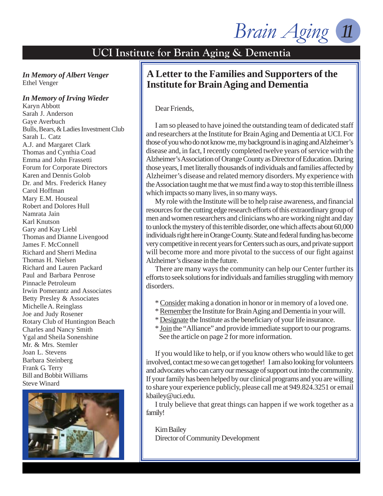Brain Aging

#### *In Memory of Albert Venger* Ethel Venger

#### *In Memory of Irving Wieder*

Karyn Abbott Sarah J. Anderson Gaye Averbuch Bulls, Bears, & Ladies Investment Club Sarah L. Catz A.J. and Margaret Clark Thomas and Cynthia Coad Emma and John Frassetti Forum for Corporate Directors Karen and Dennis Golob Dr. and Mrs. Frederick Haney Carol Hoffman Mary E.M. Houseal Robert and Dolores Hull Namrata Jain Karl Knutson Gary and Kay Liebl Thomas and Dianne Livengood James F. McConnell Richard and Sherri Medina Thomas H. Nielsen Richard and Lauren Packard Paul and Barbara Penrose Pinnacle Petroleum Irwin Pomerantz and Associates Betty Presley & Associates Michelle A. Reinglass Joe and Judy Rosener Rotary Club of Huntington Beach Charles and Nancy Smith Ygal and Sheila Sonenshine Mr. & Mrs. Stemler Joan L. Stevens Barbara Steinberg Frank G. Terry Bill and Bobbit Williams Steve Winard



## **A Letter to the Families and Supporters of the Institute for Brain Aging and Dementia**

Dear Friends,

I am so pleased to have joined the outstanding team of dedicated staff and researchers at the Institute for Brain Aging and Dementia at UCI. For those of you who do not know me, my background is in aging and Alzheimer's disease and, in fact, I recently completed twelve years of service with the Alzheimer's Association of Orange County as Director of Education. During those years, I met literally thousands of individuals and families affected by Alzheimer's disease and related memory disorders. My experience with the Association taught me that we must find a way to stop this terrible illness which impacts so many lives, in so many ways.

My role with the Institute will be to help raise awareness, and financial resources for the cutting edge research efforts of this extraordinary group of men and women researchers and clinicians who are working night and day to unlock the mystery of this terrible disorder, one which affects about 60,000 individuals right here in Orange County. State and federal funding has become very competitive in recent years for Centers such as ours, and private support will become more and more pivotal to the success of our fight against Alzheimer's disease in the future.

There are many ways the community can help our Center further its efforts to seek solutions for individuals and families struggling with memory disorders.

- \* Consider making a donation in honor or in memory of a loved one.
- \* Remember the Institute for Brain Aging and Dementia in your will.
- \* Designate the Institute as the beneficiary of your life insurance.
- \* Join the "Alliance" and provide immediate support to our programs. See the article on page 2 for more information.

If you would like to help, or if you know others who would like to get involved, contact me so we can get together! I am also looking for volunteers and advocates who can carry our message of support out into the community. If your family has been helped by our clinical programs and you are willing to share your experience publicly, please call me at 949.824.3251 or email kbailey@uci.edu.

I truly believe that great things can happen if we work together as a family!

Kim Bailey Director of Community Development